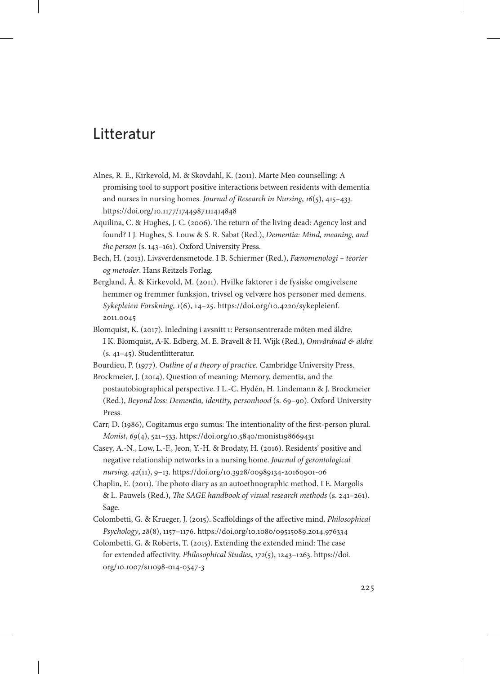## Litteratur

- Alnes, R. E., Kirkevold, M. & Skovdahl, K. (2011). Marte Meo counselling: A promising tool to support positive interactions between residents with dementia and nurses in nursing homes. *Journal of Research in Nursing*, *16*(5), 415–433. https://doi.org/10.1177/1744987111414848
- Aquilina, C. & Hughes, J. C. (2006). The return of the living dead: Agency lost and found? I J. Hughes, S. Louw & S. R. Sabat (Red.), *Dementia: Mind, meaning, and the person* (s. 143–161). Oxford University Press.
- Bech, H. (2013). Livsverdensmetode. I B. Schiermer (Red.), *Fænomenologi teorier og metoder*. Hans Reitzels Forlag.
- Bergland, Å. & Kirkevold, M. (2011). Hvilke faktorer i de fysiske omgivelsene hemmer og fremmer funksjon, trivsel og velvære hos personer med demens. *Sykepleien Forskning, 1*(6), 14–25. [https://doi.org/10.4220/sykepleienf.](https://doi.org/10.4220/sykepleienf.2011.0045) [2011.0045](https://doi.org/10.4220/sykepleienf.2011.0045)
- Blomquist, K. (2017). Inledning i avsnitt 1: Personsentrerade möten med äldre. I K. Blomquist, A-K. Edberg, M. E. Bravell & H. Wijk (Red.), *Omvårdnad & äldre*  (s. 41–45). Studentlitteratur.
- Bourdieu, P. (1977). *Outline of a theory of practice.* Cambridge University Press.
- Brockmeier, J. (2014). Question of meaning: Memory, dementia, and the postautobiographical perspective. I L.-C. Hydén, H. Lindemann & J. Brockmeier (Red.), *Beyond loss: Dementia, identity, personhood* (s. 69–90). Oxford University Press.
- Carr, D. (1986), Cogitamus ergo sumus: The intentionality of the first-person plural. *Monist*, *69*(4), 521–533. https://doi.org/10.5840/monist198669431
- Casey, A.-N., Low, L.-F., Jeon, Y.-H. & Brodaty, H. (2016). Residents' positive and negative relationship networks in a nursing home. *Journal of gerontological nursing, 42*(11), 9–13. https://doi.org/10.3928/00989134-20160901-06
- Chaplin, E. (2011). The photo diary as an autoethnographic method. I E. Margolis & L. Pauwels (Red.), *The SAGE handbook of visual research methods* (s. 241–261). Sage.
- Colombetti, G. & Krueger, J. (2015). Scaffoldings of the affective mind. *Philosophical Psychology*, *28*(8), 1157–1176. https://doi.org/10.1080/09515089.2014.976334
- Colombetti, G. & Roberts, T. (2015). Extending the extended mind: The case for extended affectivity. *Philosophical Studies*, *172*(5), 1243–1263. [https://doi.](https://doi.org/10.1007/s11098-014-0347-3) [org/10.1007/s11098-014-0347-3](https://doi.org/10.1007/s11098-014-0347-3)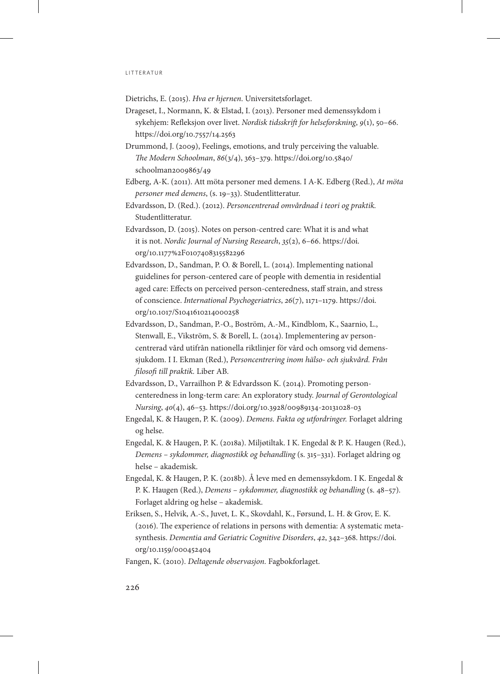Dietrichs, E. (2015). *Hva er hjernen*. Universitetsforlaget.

- Drageset, I., Normann, K. & Elstad, I. (2013). Personer med demenssykdom i sykehjem: Refleksjon over livet. *Nordisk tidsskrift for helseforskning*, *9*(1), 50–66. https://doi.org/10.7557/14.2563
- Drummond, J. (2009), Feelings, emotions, and truly perceiving the valuable. *The Modern Schoolman*, *86*(3/4), 363–379. [https://doi.org/10.5840/](https://doi.org/10.5840/schoolman2009863/49) [schoolman2009863/49](https://doi.org/10.5840/schoolman2009863/49)
- Edberg, A-K. (2011). Att möta personer med demens. I A-K. Edberg (Red.), *At möta personer med demens*, (s. 19–33). Studentlitteratur.
- Edvardsson, D. (Red.). (2012). *Personcentrerad omvårdnad i teori og praktik.* Studentlitteratur.
- Edvardsson, D. (2015). Notes on person-centred care: What it is and what it is not. *Nordic Journal of Nursing Research*, *35*(2), 6–66. [https://doi.](https://doi.org/10.1177%2F0107408315582296) [org/10.1177%2F0107408315582296](https://doi.org/10.1177%2F0107408315582296)
- Edvardsson, D., Sandman, P. O. & Borell, L. (2014). Implementing national guidelines for person-centered care of people with dementia in residential aged care: Effects on perceived person-centeredness, staff strain, and stress of conscience. *International Psychogeriatrics*, *26*(7), 1171–1179. [https://doi.](https://doi.org/10.1017/S1041610214000258) [org/10.1017/S1041610214000258](https://doi.org/10.1017/S1041610214000258)
- Edvardsson, D., Sandman, P.-O., Boström, A.-M., Kindblom, K., Saarnio, L., Stenwall, E., Vikström, S. & Borell, L. (2014). Implementering av personcentrerad vård utifrån nationella riktlinjer för vård och omsorg vid demenssjukdom. I I. Ekman (Red.), *Personcentrering inom hälso- och sjukvård. Från filosofi till praktik.* Liber AB.
- Edvardsson, D., Varrailhon P. & Edvardsson K. (2014). Promoting personcenteredness in long-term care: An exploratory study. *Journal of Gerontological Nursing*, *40*(4), 46–53. https://doi.org/10.3928/00989134-20131028-03
- Engedal, K. & Haugen, P. K. (2009). *Demens. Fakta og utfordringer.* Forlaget aldring og helse.
- Engedal, K. & Haugen, P. K. (2018a). Miljøtiltak. I K. Engedal & P. K. Haugen (Red.), *Demens – sykdommer, diagnostikk og behandling* (s. 315–331). Forlaget aldring og helse – akademisk.
- Engedal, K. & Haugen, P. K. (2018b). Å leve med en demenssykdom. I K. Engedal & P. K. Haugen (Red.), *Demens – sykdommer, diagnostikk og behandling* (s. 48–57)*.* Forlaget aldring og helse – akademisk.
- Eriksen, S., Helvik, A.-S., Juvet, L. K., Skovdahl, K., Førsund, L. H. & Grov, E. K. (2016). The experience of relations in persons with dementia: A systematic metasynthesis. *Dementia and Geriatric Cognitive Disorders*, *42*, 342–368. [https://doi.](https://doi.org/10.1159/000452404) [org/10.1159/000452404](https://doi.org/10.1159/000452404)
- Fangen, K. (2010). *Deltagende observasjon.* Fagbokforlaget.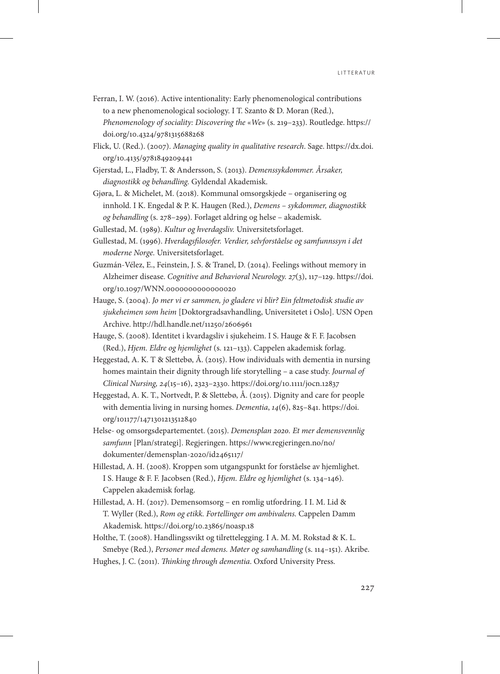- Ferran, I. W. (2016). Active intentionality: Early phenomenological contributions to a new phenomenological sociology. I T. Szanto & D. Moran (Red.), *Phenomenology of sociality: Discovering the* «*We*» (s. 219–233). Routledge. https:// doi.org/10.4324/9781315688268
- Flick, U. (Red.). (2007). *Managing quality in qualitative research*. Sage. [https://dx.doi.](https://dx.doi.org/10.4135/9781849209441) [org/10.4135/9781849209441](https://dx.doi.org/10.4135/9781849209441)
- Gjerstad, L., Fladby, T. & Andersson, S. (2013). *Demenssykdommer. Årsaker, diagnostikk og behandling.* Gyldendal Akademisk.
- Gjøra, L. & Michelet, M. (2018). Kommunal omsorgskjede organisering og innhold. I K. Engedal & P. K. Haugen (Red.), *Demens – sykdommer, diagnostikk og behandling* (s. 278–299). Forlaget aldring og helse – akademisk.
- Gullestad, M. (1989). *Kultur og hverdagsliv.* Universitetsforlaget.
- Gullestad, M. (1996). *Hverdagsfilosofer. Verdier, selvforståelse og samfunnssyn i det moderne Norge.* Universitetsforlaget.
- Guzmán-Vélez, E., Feinstein, J. S. & Tranel, D. (2014). Feelings without memory in Alzheimer disease. *Cognitive and Behavioral Neurology. 27*(3), 117–129[. https://doi.](https://doi.org/10.1097/WNN.0000000000000020) [org/10.1097/WNN.0000000000000020](https://doi.org/10.1097/WNN.0000000000000020)
- Hauge, S. (2004). *Jo mer vi er sammen, jo gladere vi blir? Ein feltmetodisk studie av sjukeheimen som heim* [Doktorgradsavhandling, Universitetet i Oslo]. USN Open Archive. http://hdl.handle.net/11250/2606961
- Hauge, S. (2008). Identitet i kvardagsliv i sjukeheim. I S. Hauge & F. F. Jacobsen (Red.), *Hjem. Eldre og hjemlighet* (s. 121–133). Cappelen akademisk forlag.
- Heggestad, A. K. T & Slettebø, Å. (2015). How individuals with dementia in nursing homes maintain their dignity through life storytelling – a case study. *Journal of Clinical Nursing, 24*(15–16), 2323–2330. https://doi.org/10.1111/jocn.12837
- Heggestad, A. K. T., Nortvedt, P. & Slettebø, Å. (2015). Dignity and care for people with dementia living in nursing homes. *Dementia*, *14*(6), 825–841. [https://doi.](https://doi.org/101177/1471301213512840) [org/101177/1471301213512840](https://doi.org/101177/1471301213512840)
- Helse- og omsorgsdepartementet. (2015). *Demensplan 2020. Et mer demensvennlig samfunn* [Plan/strategi]. Regjeringen. [https://www.regjeringen.no/no/](https://www.regjeringen.no/no/dokumenter/demensplan-2020/id2465117/) [dokumenter/demensplan-2020/id2465117/](https://www.regjeringen.no/no/dokumenter/demensplan-2020/id2465117/)
- Hillestad, A. H. (2008). Kroppen som utgangspunkt for forståelse av hjemlighet. I S. Hauge & F. F. Jacobsen (Red.), *Hjem. Eldre og hjemlighet* (s. 134–146). Cappelen akademisk forlag.
- Hillestad, A. H. (2017). Demensomsorg en romlig utfordring. I I. M. Lid & T. Wyller (Red.), *Rom og etikk. Fortellinger om ambivalens.* Cappelen Damm Akademisk. https://doi.org/10.23865/noasp.18
- Holthe, T. (2008). Handlingssvikt og tilrettelegging. I A. M. M. Rokstad & K. L. Smebye (Red.), *Personer med demens. Møter og samhandling* (s. 114–151). Akribe.
- Hughes, J. C. (2011). *Thinking through dementia*. Oxford University Press.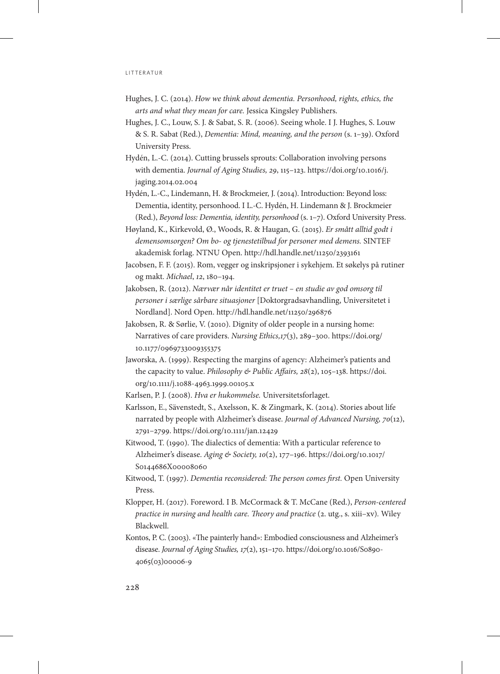- Hughes, J. C. (2014). *How we think about dementia. Personhood, rights, ethics, the arts and what they mean for care.* Jessica Kingsley Publishers.
- Hughes, J. C., Louw, S. J. & Sabat, S. R. (2006). Seeing whole. I J. Hughes, S. Louw & S. R. Sabat (Red.), *Dementia: Mind, meaning, and the person* (s. 1–39). Oxford University Press.
- Hydén, L.-C. (2014). Cutting brussels sprouts: Collaboration involving persons with dementia. *Journal of Aging Studies, 29*, 115–123. [https://doi.org/10.1016/j.](https://doi.org/10.1016/j.jaging.2014.02.004) [jaging.2014.02.004](https://doi.org/10.1016/j.jaging.2014.02.004)
- Hydén, L.-C., Lindemann, H. & Brockmeier, J. (2014). Introduction: Beyond loss: Dementia, identity, personhood. I L.-C. Hydén, H. Lindemann & J. Brockmeier (Red.), *Beyond loss: Dementia, identity, personhood* (s. 1–7). Oxford University Press.
- Høyland, K., Kirkevold, Ø., Woods, R. & Haugan, G. (2015). *Er smått alltid godt i demensomsorgen? Om bo- og tjenestetilbud for personer med demens.* SINTEF akademisk forlag. NTNU Open. http://hdl.handle.net/11250/2393161
- Jacobsen, F. F. (2015). Rom, vegger og inskripsjoner i sykehjem. Et søkelys på rutiner og makt. *Michael*, *12*, 180–194.
- Jakobsen, R. (2012). *Nærvær når identitet er truet en studie av god omsorg til personer i særlige sårbare situasjoner* [Doktorgradsavhandling, Universitetet i Nordland]. Nord Open. http://hdl.handle.net/11250/296876
- Jakobsen, R. & Sørlie, V. (2010). Dignity of older people in a nursing home: Narratives of care providers. *Nursing Ethics,17*(3), 289–300. [https://doi.org/](https://doi.org/10.1177/0969733009355375) [10.1177/0969733009355375](https://doi.org/10.1177/0969733009355375)
- Jaworska, A. (1999). Respecting the margins of agency: Alzheimer's patients and the capacity to value. *Philosophy & Public Affairs, 28*(2), 105–138. [https://doi.](https://doi.org/10.1111/j.1088-4963.1999.00105.x) [org/10.1111/j.1088-4963.1999.00105.x](https://doi.org/10.1111/j.1088-4963.1999.00105.x)
- Karlsen, P. J. (2008). *Hva er hukommelse.* Universitetsforlaget.
- Karlsson, E., Sävenstedt, S., Axelsson, K. & Zingmark, K. (2014). Stories about life narrated by people with Alzheimer's disease. *Journal of Advanced Nursing, 70*(12), 2791–2799. https://doi.org/10.1111/jan.12429
- Kitwood, T. (1990). The dialectics of dementia: With a particular reference to Alzheimer's disease. *Aging & Society, 10*(2), 177–196. [https://doi.org/10.1017/](https://doi.org/10.1017/S0144686X00008060) [S0144686X00008060](https://doi.org/10.1017/S0144686X00008060)
- Kitwood, T. (1997). *Dementia reconsidered: The person comes first.* Open University Press.
- Klopper, H. (2017). Foreword. I B. McCormack & T. McCane (Red.), *Person-centered practice in nursing and health care. Theory and practice (2. utg., s. xiii–xv).* Wiley Blackwell.
- Kontos, P. C. (2003). «The painterly hand»: Embodied consciousness and Alzheimer's disease. *Journal of Aging Studies, 17*(2), 151–170. [https://doi.org/10.1016/S0890-](https://doi.org/10.1016/S0890-4065(03)00006-9) [4065\(03\)00006-9](https://doi.org/10.1016/S0890-4065(03)00006-9)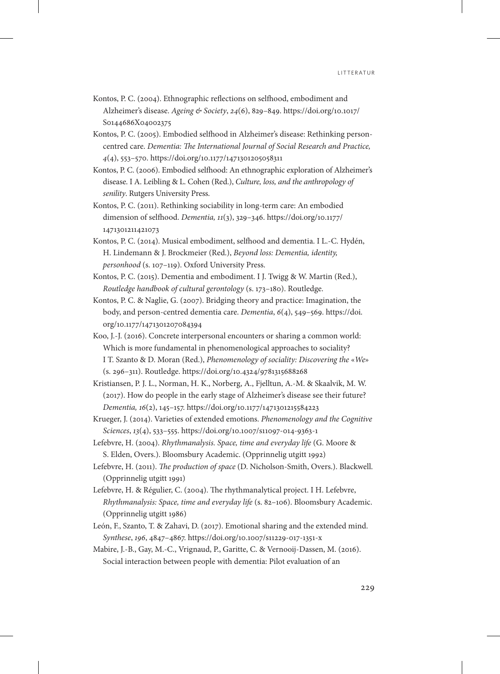- Kontos, P. C. (2004). Ethnographic reflections on selfhood, embodiment and Alzheimer's disease. *Ageing & Society*, *24*(6), 829–849. https://doi.org/10.1017/ S0144686X04002375
- Kontos, P. C. (2005). Embodied selfhood in Alzheimer's disease: Rethinking personcentred care. *Dementia: The International Journal of Social Research and Practice, 4*(4), 553–570. https://doi.org/10.1177/1471301205058311
- Kontos, P. C. (2006). Embodied selfhood: An ethnographic exploration of Alzheimer's disease. I A. Leibling & L. Cohen (Red.), *Culture, loss, and the anthropology of senility*. Rutgers University Press.
- Kontos, P. C. (2011). Rethinking sociability in long-term care: An embodied dimension of selfhood. *Dementia, 11*(3), 329–346. [https://doi.org/10.1177/](https://doi.org/10.1177/1471301211421073) [1471301211421073](https://doi.org/10.1177/1471301211421073)
- Kontos, P. C. (2014). Musical embodiment, selfhood and dementia. I L.-C. Hydén, H. Lindemann & J. Brockmeier (Red.), *Beyond loss: Dementia, identity, personhood* (s. 107–119). Oxford University Press.
- Kontos, P. C. (2015). Dementia and embodiment. I J. Twigg & W. Martin (Red.), *Routledge handbook of cultural gerontology* (s. 173–180). Routledge.
- Kontos, P. C. & Naglie, G. (2007). Bridging theory and practice: Imagination, the body, and person-centred dementia care. *Dementia*, *6*(4), 549–569[. https://doi.](https://doi.org/10.1177/1471301207084394) [org/10.1177/1471301207084394](https://doi.org/10.1177/1471301207084394)
- Koo, J.-J. (2016). Concrete interpersonal encounters or sharing a common world: Which is more fundamental in phenomenological approaches to sociality? I T. Szanto & D. Moran (Red.), *Phenomenology of sociality: Discovering the* «*We*» (s. 296–311). Routledge. https://doi.org/10.4324/9781315688268
- Kristiansen, P. J. L., Norman, H. K., Norberg, A., Fjelltun, A.-M. & Skaalvik, M. W. (2017). How do people in the early stage of Alzheimer's disease see their future? *Dementia, 16*(2), 145–157. https://doi.org/10.1177/1471301215584223
- Krueger, J. (2014). Varieties of extended emotions. *Phenomenology and the Cognitive Sciences*, *13*(4), 533–555. https://doi.org/10.1007/s11097-014-9363-1
- Lefebvre, H. (2004). *Rhythmanalysis. Space, time and everyday life* (G. Moore & S. Elden, Overs.). Bloomsbury Academic. (Opprinnelig utgitt 1992)
- Lefebvre, H. (2011). *The production of space* (D. Nicholson-Smith, Overs.). Blackwell. (Opprinnelig utgitt 1991)
- Lefebvre, H. & Régulier, C. (2004). The rhythmanalytical project. I H. Lefebvre, *Rhythmanalysis: Space, time and everyday life* (s. 82–106). Bloomsbury Academic. (Opprinnelig utgitt 1986)
- León, F., Szanto, T. & Zahavi, D. (2017). Emotional sharing and the extended mind. *Synthese*, *196*, 4847–4867. https://doi.org/10.1007/s11229-017-1351-x
- Mabire, J.-B., Gay, M.-C., Vrignaud, P., Garitte, C. & Vernooij-Dassen, M. (2016). Social interaction between people with dementia: Pilot evaluation of an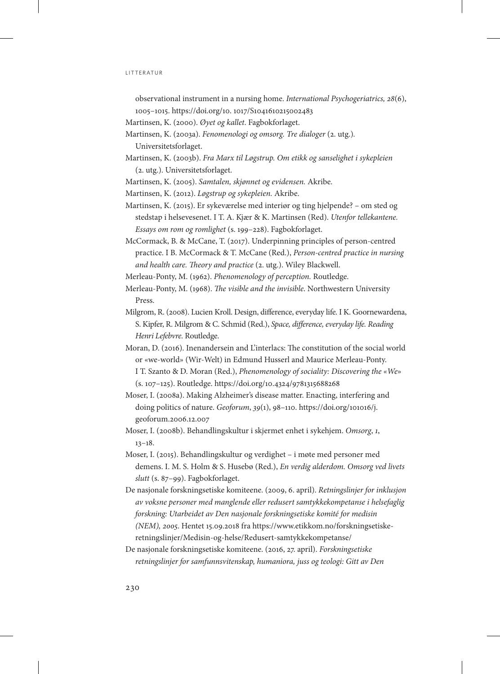observational instrument in a nursing home. *International Psychogeriatrics, 28*(6), 1005–1015. [https://doi.org/10. 1017/S1041610215002483](https://doi.org/10.1017/S1041610215002483)

- Martinsen, K. (2000). *Øyet og kallet*. Fagbokforlaget.
- Martinsen, K. (2003a). *Fenomenologi og omsorg. Tre dialoger* (2. utg.)*.* Universitetsforlaget.
- Martinsen, K. (2003b). *Fra Marx til Løgstrup. Om etikk og sanselighet i sykepleien* (2. utg.). Universitetsforlaget.
- Martinsen, K. (2005). *Samtalen, skjønnet og evidensen.* Akribe.
- Martinsen, K. (2012). *Løgstrup og sykepleien.* Akribe.
- Martinsen, K. (2015). Er sykeværelse med interiør og ting hjelpende? om sted og stedstap i helsevesenet. I T. A. Kjær & K. Martinsen (Red). *Utenfor tellekantene. Essays om rom og romlighet* (s. 199–228). Fagbokforlaget.
- McCormack, B. & McCane, T. (2017). Underpinning principles of person-centred practice. I B. McCormack & T. McCane (Red.), *Person-centred practice in nursing and health care. Theory and practice* (2. utg.). Wiley Blackwell.
- Merleau-Ponty, M. (1962). *Phenomenology of perception.* Routledge.
- Merleau-Ponty, M. (1968). *The visible and the invisible*. Northwestern University Press.
- Milgrom, R. (2008). Lucien Kroll. Design, difference, everyday life. I K. Goornewardena, S. Kipfer, R. Milgrom & C. Schmid (Red.), *Space, difference, everyday life. Reading Henri Lefebvre.* Routledge.
- Moran, D. (2016). Inenandersein and L'interlacs: The constitution of the social world or «we-world» (Wir-Welt) in Edmund Husserl and Maurice Merleau-Ponty. I T. Szanto & D. Moran (Red.), *Phenomenology of sociality: Discovering the «We*» (s. 107–125). Routledge. https://doi.org/10.4324/9781315688268
- Moser, I. (2008a). Making Alzheimer's disease matter. Enacting, interfering and doing politics of nature. *Geoforum*, *39*(1), 98–110. [https://doi.org/101016/j.](https://doi.org/101016/j.geoforum.2006.12.007) [geoforum.2006.12.007](https://doi.org/101016/j.geoforum.2006.12.007)
- Moser, I. (2008b). Behandlingskultur i skjermet enhet i sykehjem. *Omsorg*, *1*, 13–18.
- Moser, I. (2015). Behandlingskultur og verdighet i møte med personer med demens. I. M. S. Holm & S. Husebø (Red.), *En verdig alderdom. Omsorg ved livets slutt* (s. 87–99). Fagbokforlaget.
- De nasjonale forskningsetiske komiteene. (2009, 6. april). *Retningslinjer for inklusjon av voksne personer med manglende eller redusert samtykkekompetanse i helsefaglig forskning: Utarbeidet av Den nasjonale forskningsetiske komité for medisin (NEM), 2005*. Hentet 15.09.2018 fra https://www.etikkom.no/forskningsetiskeretningslinjer/Medisin-og-helse/Redusert-samtykkekompetanse/
- De nasjonale forskningsetiske komiteene. (2016, 27. april). *Forskningsetiske retningslinjer for samfunnsvitenskap, humaniora, juss og teologi: Gitt av Den*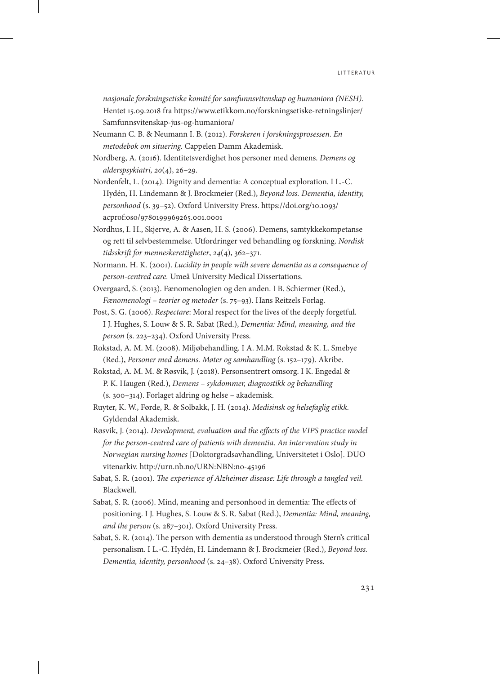*nasjonale forskningsetiske komité for samfunnsvitenskap og humaniora (NESH).* Hentet 15.09.2018 fra [https://www.etikkom.no/forskningsetiske-retningslinjer/](https://www.etikkom.no/forskningsetiske-retningslinjer/Samfunnsvitenskap-jus-og-humaniora/) [Samfunnsvitenskap-jus-og-humaniora/](https://www.etikkom.no/forskningsetiske-retningslinjer/Samfunnsvitenskap-jus-og-humaniora/)

- Neumann C. B. & Neumann I. B. (2012). *Forskeren i forskningsprosessen. En metodebok om situering.* Cappelen Damm Akademisk.
- Nordberg, A. (2016). Identitetsverdighet hos personer med demens. *Demens og alderspsykiatri, 20*(4), 26–29.
- Nordenfelt, L. (2014). Dignity and dementia: A conceptual exploration. I L.-C. Hydén, H. Lindemann & J. Brockmeier (Red.), *Beyond loss. Dementia, identity, personhood* (s. 39–52). Oxford University Press. [https://doi.org/10.1093/](https://doi.org/10.1093/acprof:oso/9780199969265.001.0001) [acprof:oso/9780199969265.001.0001](https://doi.org/10.1093/acprof:oso/9780199969265.001.0001)
- Nordhus, I. H., Skjerve, A. & Aasen, H. S. (2006). Demens, samtykkekompetanse og rett til selvbestemmelse. Utfordringer ved behandling og forskning. *Nordisk tidsskrift for menneskerettigheter*, *24*(4), 362–371.
- Normann, H. K. (2001). *Lucidity in people with severe dementia as a consequence of person-centred care.* Umeå University Medical Dissertations.
- Overgaard, S. (2013). Fænomenologien og den anden. I B. Schiermer (Red.), *Fænomenologi – teorier og metoder* (s. 75–93). Hans Reitzels Forlag.
- Post, S. G. (2006). *Respectare*: Moral respect for the lives of the deeply forgetful. I J. Hughes, S. Louw & S. R. Sabat (Red.), *Dementia: Mind, meaning, and the person* (s. 223–234). Oxford University Press.
- Rokstad, A. M. M. (2008). Miljøbehandling. I A. M.M. Rokstad & K. L. Smebye (Red.), *Personer med demens. Møter og samhandling* (s. 152–179). Akribe.
- Rokstad, A. M. M. & Røsvik, J. (2018). Personsentrert omsorg. I K. Engedal & P. K. Haugen (Red.), *Demens – sykdommer, diagnostikk og behandling*  (s. 300–314). Forlaget aldring og helse – akademisk.
- Ruyter, K. W., Førde, R. & Solbakk, J. H. (2014). *Medisinsk og helsefaglig etikk.* Gyldendal Akademisk.
- Røsvik, J. (2014). *Development, evaluation and the effects of the VIPS practice model for the person-centred care of patients with dementia. An intervention study in Norwegian nursing homes* [Doktorgradsavhandling, Universitetet i Oslo]*.* DUO vitenarkiv. http://urn.nb.no/URN:NBN:no-45196
- Sabat, S. R. (2001). *The experience of Alzheimer disease: Life through a tangled veil.* Blackwell.
- Sabat, S. R. (2006). Mind, meaning and personhood in dementia: The effects of positioning. I J. Hughes, S. Louw & S. R. Sabat (Red.), *Dementia: Mind, meaning, and the person* (s. 287–301). Oxford University Press.
- Sabat, S. R. (2014). The person with dementia as understood through Stern's critical personalism. I L.-C. Hydén, H. Lindemann & J. Brockmeier (Red.), *Beyond loss. Dementia, identity, personhood* (s. 24–38). Oxford University Press.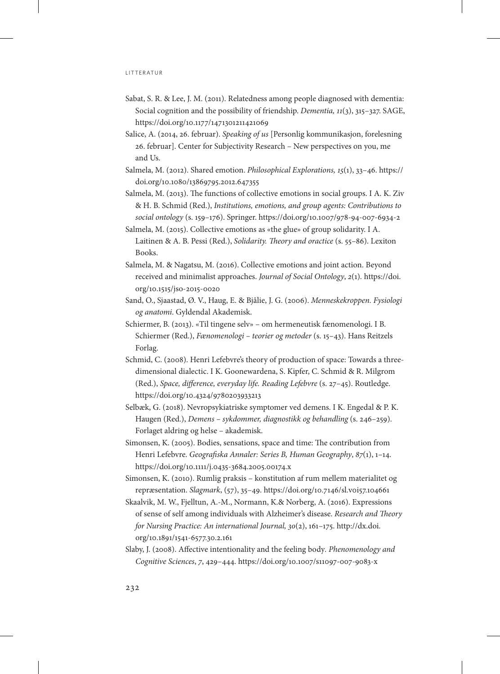- Sabat, S. R. & Lee, J. M. (2011). Relatedness among people diagnosed with dementia: Social cognition and the possibility of friendship. *Dementia, 11*(3), 315–327. SAGE, https://doi.org/10.1177/1471301211421069
- Salice, A. (2014, 26. februar). *Speaking of us* [Personlig kommunikasjon, forelesning 26. februar]. Center for Subjectivity Research – New perspectives on you, me and Us.
- Salmela, M. (2012). Shared emotion. *Philosophical Explorations, 15*(1), 33–46. https:// doi.org/10.1080/13869795.2012.647355
- Salmela, M. (2013). The functions of collective emotions in social groups. I A. K. Ziv & H. B. Schmid (Red.), *Institutions, emotions, and group agents: Contributions to social ontology* (s. 159–176). Springer. https://doi.org/10.1007/978-94-007-6934-2
- Salmela, M. (2015). Collective emotions as «the glue» of group solidarity. I A. Laitinen & A. B. Pessi (Red.), *Solidarity. Theory and oractice* (s. 55–86). Lexiton Books.
- Salmela, M. & Nagatsu, M. (2016). Collective emotions and joint action. Beyond received and minimalist approaches. *Journal of Social Ontology*, *2*(1)*.* [https://doi.](https://doi.org/10.1515/jso-2015-0020) [org/10.1515/jso-2015-0020](https://doi.org/10.1515/jso-2015-0020)
- Sand, O., Sjaastad, Ø. V., Haug, E. & Bjålie, J. G. (2006). *Menneskekroppen. Fysiologi og anatomi*. Gyldendal Akademisk.
- Schiermer, B. (2013). «Til tingene selv» om hermeneutisk fænomenologi. I B. Schiermer (Red.), *Fænomenologi – teorier og metoder* (s. 15–43). Hans Reitzels Forlag.
- Schmid, C. (2008). Henri Lefebvre's theory of production of space: Towards a threedimensional dialectic. I K. Goonewardena, S. Kipfer, C. Schmid & R. Milgrom (Red.), *Space, difference, everyday life. Reading Lefebvre* (s. 27–45). Routledge. https://doi.org/10.4324/9780203933213
- Selbæk, G. (2018). Nevropsykiatriske symptomer ved demens. I K. Engedal & P. K. Haugen (Red.), *Demens – sykdommer, diagnostikk og behandling* (s. 246–259). Forlaget aldring og helse – akademisk.
- Simonsen, K. (2005). Bodies, sensations, space and time: The contribution from Henri Lefebvre. *Geografiska Annaler: Series B, Human Geography*, *87*(1), 1–14. https://doi.org/10.1111/j.0435-3684.2005.00174.x
- Simonsen, K. (2010). Rumlig praksis konstitution af rum mellem materialitet og repræsentation. *Slagmark*, (57), 35–49. https://doi.org/10.7146/sl.v0i57.104661
- Skaalvik, M. W., Fjelltun, A.-M., Normann, K.& Norberg, A. (2016). Expressions of sense of self among individuals with Alzheimer's disease. *Research and Theory for Nursing Practice: An international Journal, 30*(2), 161–175. [http://dx.doi.](http://dx.doi.org/10.1891/1541-6577.30.2.161) [org/10.1891/1541-6577.30.2.161](http://dx.doi.org/10.1891/1541-6577.30.2.161)
- Slaby, J. (2008). Affective intentionality and the feeling body*. Phenomenology and Cognitive Sciences*, *7*, 429–444. https://doi.org/10.1007/s11097-007-9083-x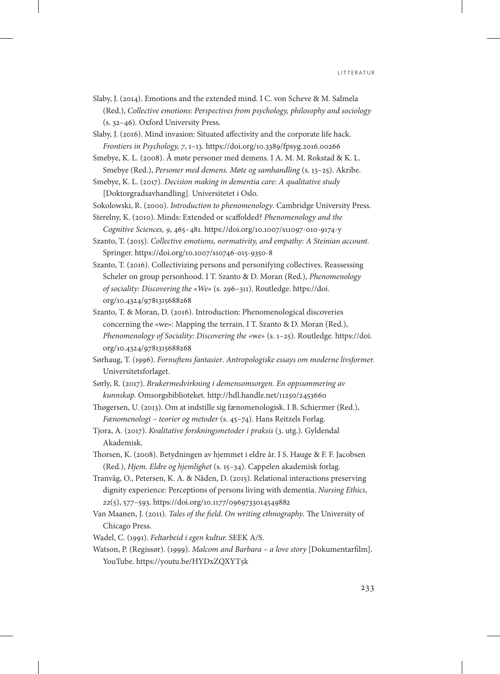Slaby, J. (2014). Emotions and the extended mind. I C. von Scheve & M. Salmela (Red.), *Collective emotions: Perspectives from psychology, philosophy and sociology*  (s. 32–46)*.* Oxford University Press.

Slaby, J. (2016). Mind invasion: Situated affectivity and the corporate life hack. *Frontiers in Psychology, 7*, 1–13. https://doi.org/10.3389/fpsyg.2016.00266

Smebye, K. L. (2008). Å møte personer med demens. I A. M. M. Rokstad & K. L. Smebye (Red.), *Personer med demens. Møte og samhandling* (s. 13–25). Akribe.

Smebye, K. L. (2017). *Decision making in dementia care: A qualitative study*  [Doktorgradsavhandling]. Universitetet i Oslo.

Sokolowski, R. (2000). *Introduction to phenomenology*. Cambridge University Press.

Sterelny, K. (2010). Minds: Extended or scaffolded? *Phenomenology and the Cognitive Sciences, 9*, 465–481. https://doi.org/10.1007/s11097-010-9174-y

Szanto, T. (2015). *Collective emotions, normativity, and empathy: A Steinian account.* Springer. https://doi.org/10.1007/s10746-015-9350-8

Szanto, T. (2016). Collectivizing persons and personifying collectives. Reassessing Scheler on group personhood. I T. Szanto & D. Moran (Red.), *Phenomenology of sociality: Discovering the* «*We*» (s. 296–311). Routledge. [https://doi.](https://doi.org/10.4324/9781315688268) [org/10.4324/9781315688268](https://doi.org/10.4324/9781315688268)

- Szanto, T. & Moran, D. (2016). Introduction: Phenomenological discoveries concerning the «we»: Mapping the terrain. I T. Szanto & D. Moran (Red.), *Phenomenology of Sociality: Discovering the* «w*e*» (s. 1–25). Routledge. [https://doi.](https://doi.org/10.4324/9781315688268) [org/10.4324/9781315688268](https://doi.org/10.4324/9781315688268)
- Sørhaug, T. (1996). *Fornuftens fantasier*. *Antropologiske essays om moderne livsformer.* Universitetsforlaget.
- Sørly, R. (2017). *Brukermedvirkning i demensomsorgen. En oppsummering av kunnskap.* Omsorgsbiblioteket*.* http://hdl.handle.net/11250/2453660

Thøgersen, U. (2013). Om at indstille sig fænomenologisk. I B. Schiermer (Red.), *Fænomenologi – teorier og metoder* (s. 45–74). Hans Reitzels Forlag.

- Tjora, A. (2017). *Kvalitative forskningsmetoder i praksis* (3. utg.). Gyldendal Akademisk.
- Thorsen, K. (2008). Betydningen av hjemmet i eldre år. I S. Hauge & F. F. Jacobsen (Red.), *Hjem. Eldre og hjemlighet* (s. 15–34). Cappelen akademisk forlag.
- Tranvåg, O., Petersen, K. A. & Nåden, D. (2015). Relational interactions preserving dignity experience: Perceptions of persons living with dementia. *Nursing Ethics*, *22*(5), 577–593. https://doi.org/10.1177/0969733014549882
- Van Maanen, J. (2011). *Tales of the field. On writing ethnography*. The University of Chicago Press.
- Wadel, C. (1991). *Feltarbeid i egen kultur.* SEEK A/S.
- Watson, P. (Regissør). (1999). *Malcom and Barbara a love story* [Dokumentarfilm]. YouTube. https://youtu.be/HYDxZQXYT5k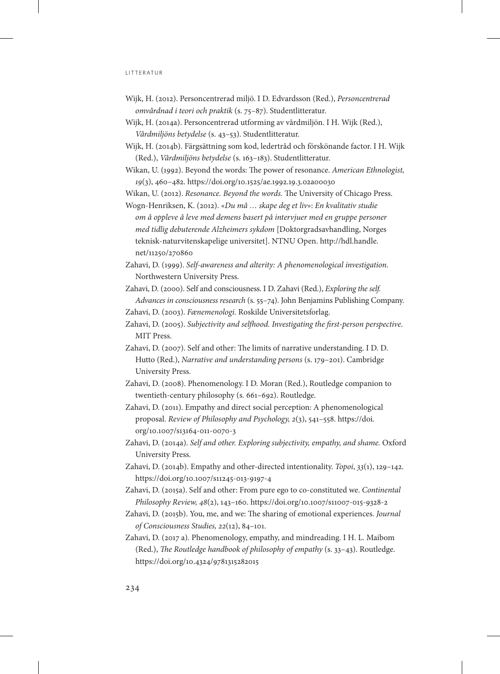- Wijk, H. (2012). Personcentrerad miljö. I D. Edvardsson (Red.), *Personcentrerad omvårdnad i teori och praktik* (s. 75–87). Studentlitteratur.
- Wijk, H. (2014a). Personcentrerad utforming av vårdmiljön. I H. Wijk (Red.), *Vårdmiljöns betydelse* (s. 43–53). Studentlitteratur.
- Wijk, H. (2014b). Färgsättning som kod, ledertråd och förskönande factor. I H. Wijk (Red.), *Vårdmiljöns betydelse* (s. 163–183). Studentlitteratur.

Wikan, U. (1992). Beyond the words: The power of resonance. *American Ethnologist, 19*(3), 460–482. https://doi.org/10.1525/ae.1992.19.3.02a00030

Wikan, U. (2012). *Resonance. Beyond the words.* The University of Chicago Press.

Wogn-Henriksen, K. (2012). «*Du må … skape deg et liv*»: *En kvalitativ studie om å oppleve å leve med demens basert på intervjuer med en gruppe personer med tidlig debuterende Alzheimers sykdom* [Doktorgradsavhandling, Norges teknisk-naturvitenskapelige universitet]. NTNU Open. [http://hdl.handle.](http://hdl.handle.net/11250/270860) [net/11250/270860](http://hdl.handle.net/11250/270860)

- Zahavi, D. (1999). *Self-awareness and alterity: A phenomenological investigation*. Northwestern University Press.
- Zahavi, D. (2000). Self and consciousness. I D. Zahavi (Red.), *Exploring the self. Advances in consciousness research* (s. 55–74). John Benjamins Publishing Company.
- Zahavi, D. (2003). *Fænemenologi.* Roskilde Universitetsforlag.
- Zahavi, D. (2005). *Subjectivity and selfhood. Investigating the first-person perspective*. MIT Press.
- Zahavi, D. (2007). Self and other: The limits of narrative understanding. I D. D. Hutto (Red.), *Narrative and understanding persons* (s. 179–201). Cambridge University Press.
- Zahavi, D. (2008). Phenomenology. I D. Moran (Red.), Routledge companion to twentieth-century philosophy (s. 661–692). Routledge.
- Zahavi, D. (2011). Empathy and direct social perception: A phenomenological proposal. *Review of Philosophy and Psychology, 2*(3), 541–558. [https://doi.](https://doi.org/10.1007/s13164-011-0070-3) [org/10.1007/s13164-011-0070-3](https://doi.org/10.1007/s13164-011-0070-3)
- Zahavi, D. (2014a). *Self and other. Exploring subjectivity, empathy, and shame.* Oxford University Press.
- Zahavi, D. (2014b). Empathy and other-directed intentionality. *Topoi*, *33*(1), 129–142. https://doi.org/10.1007/s11245-013-9197-4
- Zahavi, D. (2015a). Self and other: From pure ego to co-constituted we. *Continental Philosophy Review, 48*(2), 143–160. https://doi.org/10.1007/s11007-015-9328-2
- Zahavi, D. (2015b). You, me, and we: The sharing of emotional experiences. *Journal of Consciousness Studies, 22*(12), 84–101.
- Zahavi, D. (2017 a). Phenomenology, empathy, and mindreading. I H. L. Maibom (Red.), *The Routledge handbook of philosophy of empathy* (s. 33–43). Routledge. https://doi.org/10.4324/9781315282015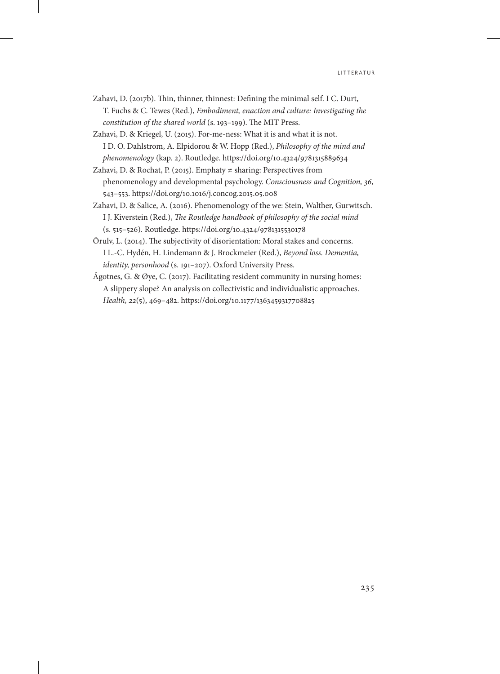- Zahavi, D. (2017b). Thin, thinner, thinnest: Defining the minimal self. I C. Durt, T. Fuchs & C. Tewes (Red.), *Embodiment, enaction and culture: Investigating the constitution of the shared world* (s. 193–199). The MIT Press.
- Zahavi, D. & Kriegel, U. (2015). For-me-ness: What it is and what it is not. I D. O. Dahlstrom, A. Elpidorou & W. Hopp (Red.), *Philosophy of the mind and phenomenology* (kap. 2). Routledge. https://doi.org/10.4324/9781315889634
- Zahavi, D. & Rochat, P. (2015). Emphaty  $\neq$  sharing: Perspectives from phenomenology and developmental psychology. *Consciousness and Cognition, 36*, 543–553. https://doi.org/10.1016/j.concog.2015.05.008
- Zahavi, D. & Salice, A. (2016). Phenomenology of the we: Stein, Walther, Gurwitsch. I J. Kiverstein (Red.), *The Routledge handbook of philosophy of the social mind*  (s. 515–526)*.* Routledge. https://doi.org/10.4324/9781315530178
- Örulv, L. (2014). The subjectivity of disorientation: Moral stakes and concerns. I L.-C. Hydén, H. Lindemann & J. Brockmeier (Red.), *Beyond loss. Dementia, identity, personhood* (s. 191–207). Oxford University Press.
- Ågotnes, G. & Øye, C. (2017). Facilitating resident community in nursing homes: A slippery slope? An analysis on collectivistic and individualistic approaches. *Health, 22*(5), 469–482. https://doi.org/10.1177/1363459317708825